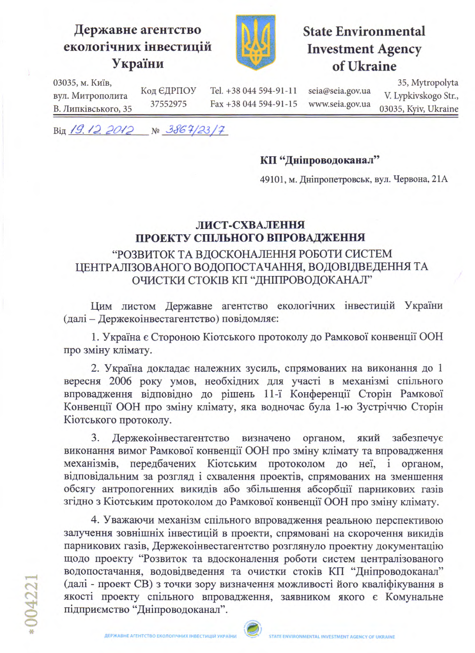# Державне агентство екологічних інвестицій України



# **State Environmental Investment Agency** of Ukraine

03035, м. Київ, вул. Митрополита В. Липківського, 35

Tel. +38 044 594-91-11 Fax +38 044 594-91-15 seia@seia.gov.ua www.seia.gov.ua

35, Mytropolyta V. Lypkivskogo Str., 03035, Kyiv, Ukraine

 $Big/19.122012$  No 3864/23/7

Код ЄДРПОУ

37552975

### КП "Дніпроводоканал"

49101, м. Дніпропетровськ, вул. Червона, 21А

#### ЛИСТ-СХВАЛЕННЯ ПРОЕКТУ СПІЛЬНОГО ВПРОВАДЖЕННЯ

### "РОЗВИТОК ТА ВДОСКОНАЛЕННЯ РОБОТИ СИСТЕМ ЦЕНТРАЛІЗОВАНОГО ВОДОПОСТАЧАННЯ, ВОДОВІДВЕДЕННЯ ТА ОЧИСТКИ СТОКІВ КП "ДНІПРОВОДОКАНАЛ"

Цим листом Державне агентство екологічних інвестицій України (далі - Держекоінвестагентство) повідомляє:

1. Україна є Стороною Кіотського протоколу до Рамкової конвенції ООН про зміну клімату.

2. Україна докладає належних зусиль, спрямованих на виконання до 1 вересня 2006 року умов, необхідних для участі в механізмі спільного впровадження відповідно до рішень 11-ї Конференції Сторін Рамкової Конвенції ООН про зміну клімату, яка водночас була 1-ю Зустріччю Сторін Кіотського протоколу.

3. Держекоінвестагентство визначено органом, який забезпечує виконання вимог Рамкової конвенції ООН про зміну клімату та впровадження механізмів, передбачених Кіотським протоколом до неї, і органом, відповідальним за розгляд і схвалення проектів, спрямованих на зменшення обсягу антропогенних викидів або збільшення абсорбції парникових газів згідно з Кіотським протоколом до Рамкової конвенції ООН про зміну клімату.

4. Уважаючи механізм спільного впровадження реальною перспективою залучення зовнішніх інвестицій в проекти, спрямовані на скорочення викидів парникових газів, Держекоінвестагентство розглянуло проектну документацію щодо проекту "Розвиток та вдосконалення роботи систем централізованого водопостачання, водовідведення та очистки стоків КП "Дніпроводоканал" (далі - проект СВ) з точки зору визначення можливості його кваліфікування в якості проекту спільного впровадження, заявником якого є Комунальне підприємство "Дніпроводоканал".